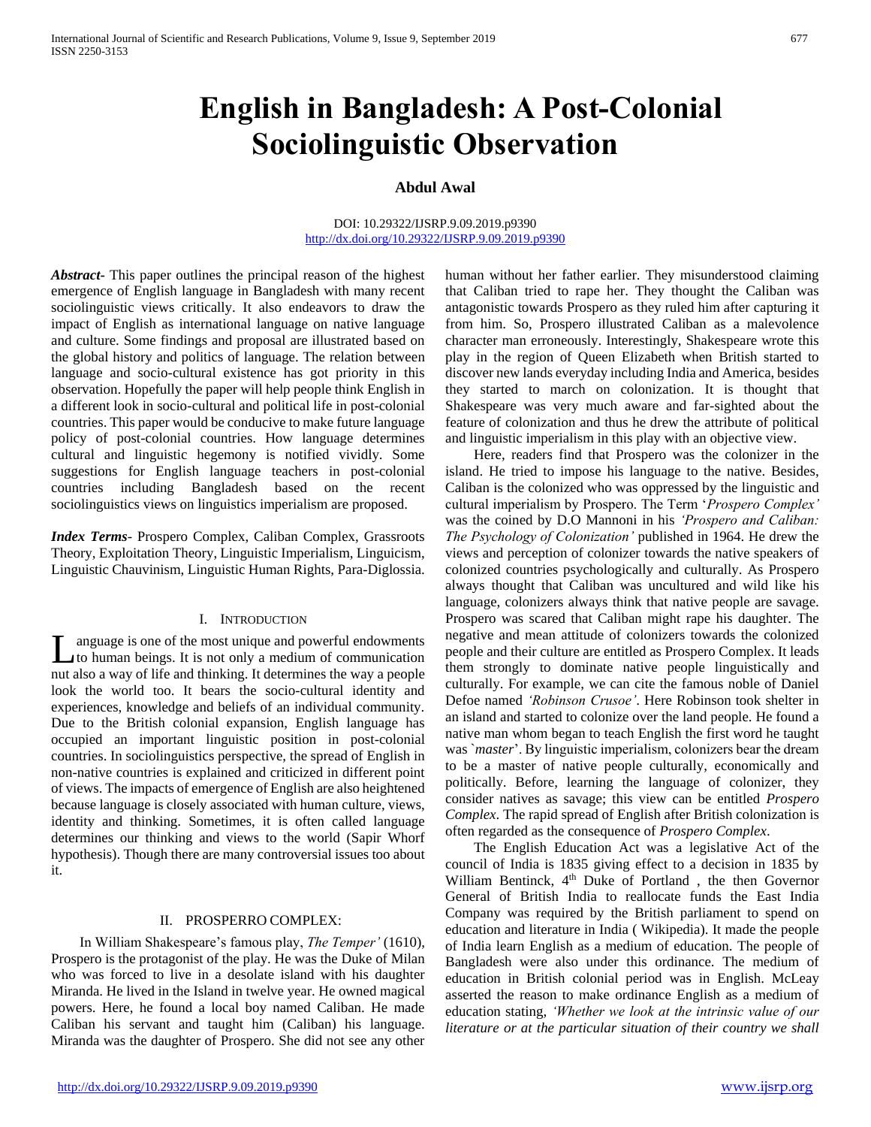# **English in Bangladesh: A Post-Colonial Sociolinguistic Observation**

## **Abdul Awal**

#### DOI: 10.29322/IJSRP.9.09.2019.p9390 <http://dx.doi.org/10.29322/IJSRP.9.09.2019.p9390>

*Abstract***-** This paper outlines the principal reason of the highest emergence of English language in Bangladesh with many recent sociolinguistic views critically. It also endeavors to draw the impact of English as international language on native language and culture. Some findings and proposal are illustrated based on the global history and politics of language. The relation between language and socio-cultural existence has got priority in this observation. Hopefully the paper will help people think English in a different look in socio-cultural and political life in post-colonial countries. This paper would be conducive to make future language policy of post-colonial countries. How language determines cultural and linguistic hegemony is notified vividly. Some suggestions for English language teachers in post-colonial countries including Bangladesh based on the recent sociolinguistics views on linguistics imperialism are proposed.

*Index Terms*- Prospero Complex, Caliban Complex, Grassroots Theory, Exploitation Theory, Linguistic Imperialism, Linguicism, Linguistic Chauvinism, Linguistic Human Rights, Para-Diglossia.

### I. INTRODUCTION

anguage is one of the most unique and powerful endowments to human beings. It is not only a medium of communication Let a may also a way of the most unique and powerful endowments<br>to human beings. It is not only a medium of communication<br>nut also a way of life and thinking. It determines the way a people look the world too. It bears the socio-cultural identity and experiences, knowledge and beliefs of an individual community. Due to the British colonial expansion, English language has occupied an important linguistic position in post-colonial countries. In sociolinguistics perspective, the spread of English in non-native countries is explained and criticized in different point of views. The impacts of emergence of English are also heightened because language is closely associated with human culture, views, identity and thinking. Sometimes, it is often called language determines our thinking and views to the world (Sapir Whorf hypothesis). Though there are many controversial issues too about it.

### II. PROSPERRO COMPLEX:

 In William Shakespeare's famous play, *The Temper'* (1610), Prospero is the protagonist of the play. He was the Duke of Milan who was forced to live in a desolate island with his daughter Miranda. He lived in the Island in twelve year. He owned magical powers. Here, he found a local boy named Caliban. He made Caliban his servant and taught him (Caliban) his language. Miranda was the daughter of Prospero. She did not see any other

human without her father earlier. They misunderstood claiming that Caliban tried to rape her. They thought the Caliban was antagonistic towards Prospero as they ruled him after capturing it from him. So, Prospero illustrated Caliban as a malevolence character man erroneously. Interestingly, Shakespeare wrote this play in the region of Queen Elizabeth when British started to discover new lands everyday including India and America, besides they started to march on colonization. It is thought that Shakespeare was very much aware and far-sighted about the feature of colonization and thus he drew the attribute of political and linguistic imperialism in this play with an objective view.

 Here, readers find that Prospero was the colonizer in the island. He tried to impose his language to the native. Besides, Caliban is the colonized who was oppressed by the linguistic and cultural imperialism by Prospero. The Term '*Prospero Complex'* was the coined by D.O Mannoni in his *'Prospero and Caliban: The Psychology of Colonization'* published in 1964. He drew the views and perception of colonizer towards the native speakers of colonized countries psychologically and culturally. As Prospero always thought that Caliban was uncultured and wild like his language, colonizers always think that native people are savage. Prospero was scared that Caliban might rape his daughter. The negative and mean attitude of colonizers towards the colonized people and their culture are entitled as Prospero Complex. It leads them strongly to dominate native people linguistically and culturally. For example, we can cite the famous noble of Daniel Defoe named *'Robinson Crusoe'*. Here Robinson took shelter in an island and started to colonize over the land people. He found a native man whom began to teach English the first word he taught was `*master*'. By linguistic imperialism, colonizers bear the dream to be a master of native people culturally, economically and politically. Before, learning the language of colonizer, they consider natives as savage; this view can be entitled *Prospero Complex*. The rapid spread of English after British colonization is often regarded as the consequence of *Prospero Complex*.

 The English Education Act was a legislative Act of the council of India is 1835 giving effect to a decision in 1835 by William Bentinck, 4<sup>th</sup> Duke of Portland, the then Governor General of British India to reallocate funds the East India Company was required by the British parliament to spend on education and literature in India ( Wikipedia). It made the people of India learn English as a medium of education. The people of Bangladesh were also under this ordinance. The medium of education in British colonial period was in English. McLeay asserted the reason to make ordinance English as a medium of education stating, *'Whether we look at the intrinsic value of our literature or at the particular situation of their country we shall*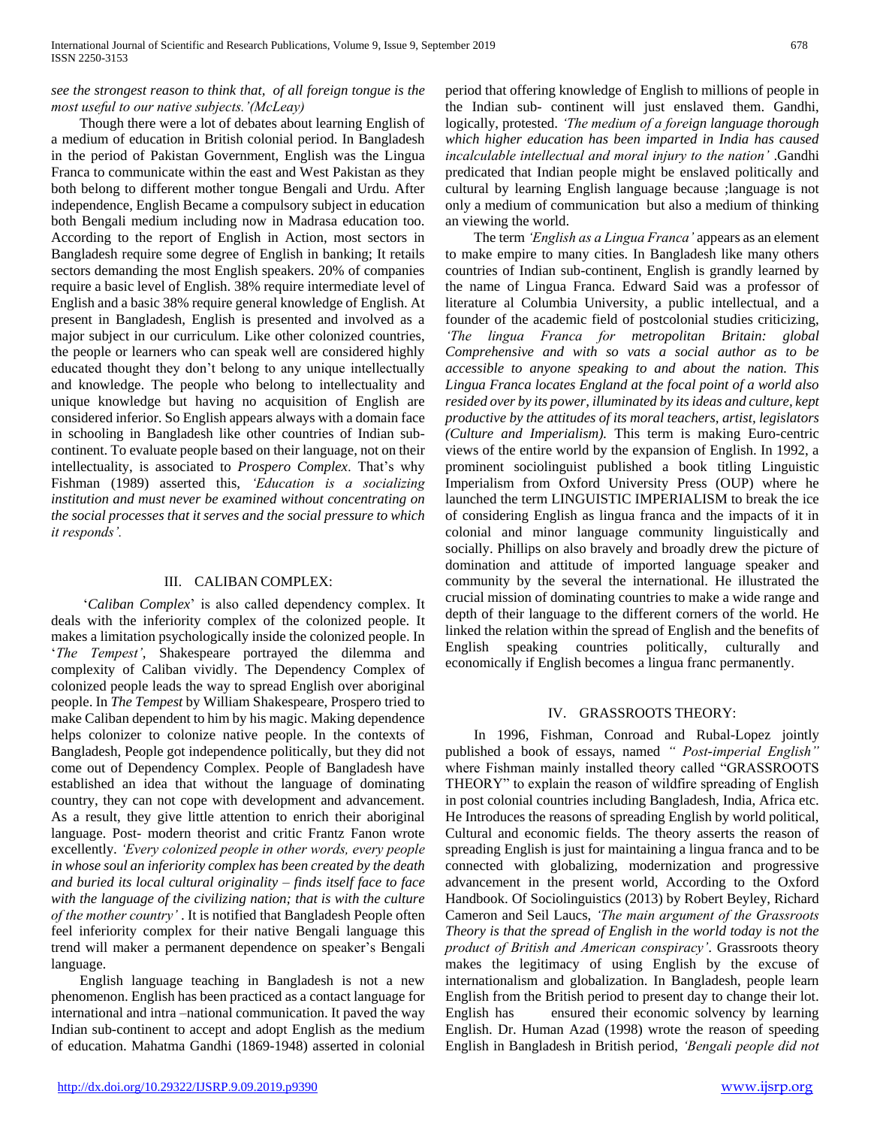## *see the strongest reason to think that, of all foreign tongue is the most useful to our native subjects.'(McLeay)*

 Though there were a lot of debates about learning English of a medium of education in British colonial period. In Bangladesh in the period of Pakistan Government, English was the Lingua Franca to communicate within the east and West Pakistan as they both belong to different mother tongue Bengali and Urdu. After independence, English Became a compulsory subject in education both Bengali medium including now in Madrasa education too. According to the report of English in Action, most sectors in Bangladesh require some degree of English in banking; It retails sectors demanding the most English speakers. 20% of companies require a basic level of English. 38% require intermediate level of English and a basic 38% require general knowledge of English. At present in Bangladesh, English is presented and involved as a major subject in our curriculum. Like other colonized countries, the people or learners who can speak well are considered highly educated thought they don't belong to any unique intellectually and knowledge. The people who belong to intellectuality and unique knowledge but having no acquisition of English are considered inferior. So English appears always with a domain face in schooling in Bangladesh like other countries of Indian subcontinent. To evaluate people based on their language, not on their intellectuality, is associated to *Prospero Complex*. That's why Fishman (1989) asserted this, *'Education is a socializing institution and must never be examined without concentrating on the social processes that it serves and the social pressure to which it responds'.*

### III. CALIBAN COMPLEX:

 '*Caliban Complex*' is also called dependency complex. It deals with the inferiority complex of the colonized people. It makes a limitation psychologically inside the colonized people. In '*The Tempest'*, Shakespeare portrayed the dilemma and complexity of Caliban vividly. The Dependency Complex of colonized people leads the way to spread English over aboriginal people. In *The Tempest* by William Shakespeare, Prospero tried to make Caliban dependent to him by his magic. Making dependence helps colonizer to colonize native people. In the contexts of Bangladesh, People got independence politically, but they did not come out of Dependency Complex. People of Bangladesh have established an idea that without the language of dominating country, they can not cope with development and advancement. As a result, they give little attention to enrich their aboriginal language. Post- modern theorist and critic Frantz Fanon wrote excellently. *'Every colonized people in other words, every people in whose soul an inferiority complex has been created by the death and buried its local cultural originality – finds itself face to face with the language of the civilizing nation; that is with the culture of the mother country'* . It is notified that Bangladesh People often feel inferiority complex for their native Bengali language this trend will maker a permanent dependence on speaker's Bengali language.

 English language teaching in Bangladesh is not a new phenomenon. English has been practiced as a contact language for international and intra –national communication. It paved the way Indian sub-continent to accept and adopt English as the medium of education. Mahatma Gandhi (1869-1948) asserted in colonial

period that offering knowledge of English to millions of people in the Indian sub- continent will just enslaved them. Gandhi, logically, protested. *'The medium of a foreign language thorough which higher education has been imparted in India has caused incalculable intellectual and moral injury to the nation'* .Gandhi predicated that Indian people might be enslaved politically and cultural by learning English language because ;language is not only a medium of communication but also a medium of thinking an viewing the world.

 The term *'English as a Lingua Franca'* appears as an element to make empire to many cities. In Bangladesh like many others countries of Indian sub-continent, English is grandly learned by the name of Lingua Franca. Edward Said was a professor of literature al Columbia University, a public intellectual, and a founder of the academic field of postcolonial studies criticizing, *'The lingua Franca for metropolitan Britain: global Comprehensive and with so vats a social author as to be accessible to anyone speaking to and about the nation. This Lingua Franca locates England at the focal point of a world also resided over by its power, illuminated by its ideas and culture, kept productive by the attitudes of its moral teachers, artist, legislators (Culture and Imperialism).* This term is making Euro-centric views of the entire world by the expansion of English. In 1992, a prominent sociolinguist published a book titling Linguistic Imperialism from Oxford University Press (OUP) where he launched the term LINGUISTIC IMPERIALISM to break the ice of considering English as lingua franca and the impacts of it in colonial and minor language community linguistically and socially. Phillips on also bravely and broadly drew the picture of domination and attitude of imported language speaker and community by the several the international. He illustrated the crucial mission of dominating countries to make a wide range and depth of their language to the different corners of the world. He linked the relation within the spread of English and the benefits of English speaking countries politically, culturally and economically if English becomes a lingua franc permanently.

### IV. GRASSROOTS THEORY:

 In 1996, Fishman, Conroad and Rubal-Lopez jointly published a book of essays, named *" Post-imperial English"* where Fishman mainly installed theory called "GRASSROOTS THEORY" to explain the reason of wildfire spreading of English in post colonial countries including Bangladesh, India, Africa etc. He Introduces the reasons of spreading English by world political, Cultural and economic fields. The theory asserts the reason of spreading English is just for maintaining a lingua franca and to be connected with globalizing, modernization and progressive advancement in the present world, According to the Oxford Handbook. Of Sociolinguistics (2013) by Robert Beyley, Richard Cameron and Seil Laucs, *'The main argument of the Grassroots Theory is that the spread of English in the world today is not the product of British and American conspiracy'*. Grassroots theory makes the legitimacy of using English by the excuse of internationalism and globalization. In Bangladesh, people learn English from the British period to present day to change their lot. English has ensured their economic solvency by learning English. Dr. Human Azad (1998) wrote the reason of speeding English in Bangladesh in British period, *'Bengali people did not*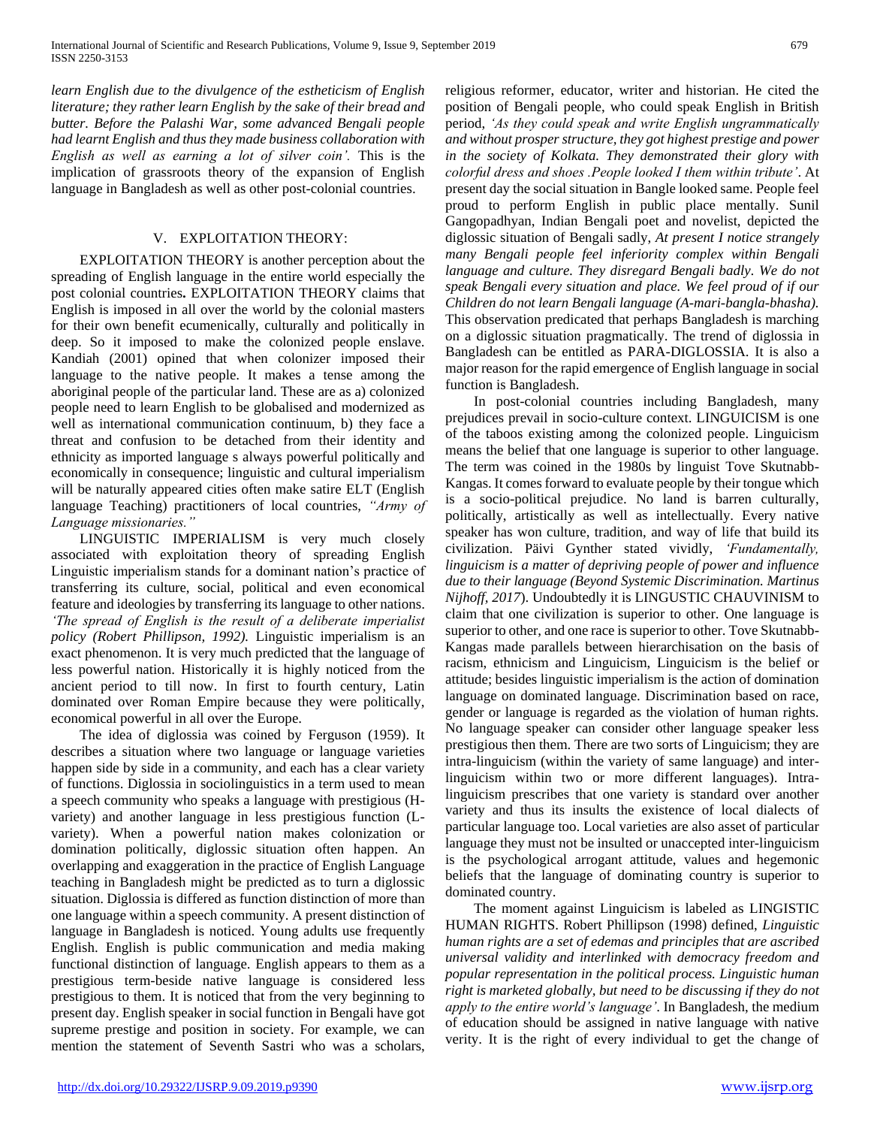*learn English due to the divulgence of the estheticism of English literature; they rather learn English by the sake of their bread and butter. Before the Palashi War, some advanced Bengali people had learnt English and thus they made business collaboration with English as well as earning a lot of silver coin'.* This is the implication of grassroots theory of the expansion of English language in Bangladesh as well as other post-colonial countries.

## V. EXPLOITATION THEORY:

 EXPLOITATION THEORY is another perception about the spreading of English language in the entire world especially the post colonial countries**.** EXPLOITATION THEORY claims that English is imposed in all over the world by the colonial masters for their own benefit ecumenically, culturally and politically in deep. So it imposed to make the colonized people enslave. Kandiah (2001) opined that when colonizer imposed their language to the native people. It makes a tense among the aboriginal people of the particular land. These are as a) colonized people need to learn English to be globalised and modernized as well as international communication continuum, b) they face a threat and confusion to be detached from their identity and ethnicity as imported language s always powerful politically and economically in consequence; linguistic and cultural imperialism will be naturally appeared cities often make satire ELT (English language Teaching) practitioners of local countries, *"Army of Language missionaries."*

 LINGUISTIC IMPERIALISM is very much closely associated with exploitation theory of spreading English Linguistic imperialism stands for a dominant nation's practice of transferring its culture, social, political and even economical feature and ideologies by transferring its language to other nations. *'The spread of English is the result of a deliberate imperialist policy (Robert Phillipson, 1992).* Linguistic imperialism is an exact phenomenon. It is very much predicted that the language of less powerful nation. Historically it is highly noticed from the ancient period to till now. In first to fourth century, Latin dominated over Roman Empire because they were politically, economical powerful in all over the Europe.

 The idea of diglossia was coined by Ferguson (1959). It describes a situation where two language or language varieties happen side by side in a community, and each has a clear variety of functions. Diglossia in sociolinguistics in a term used to mean a speech community who speaks a language with prestigious (Hvariety) and another language in less prestigious function (Lvariety). When a powerful nation makes colonization or domination politically, diglossic situation often happen. An overlapping and exaggeration in the practice of English Language teaching in Bangladesh might be predicted as to turn a diglossic situation. Diglossia is differed as function distinction of more than one language within a speech community. A present distinction of language in Bangladesh is noticed. Young adults use frequently English. English is public communication and media making functional distinction of language. English appears to them as a prestigious term-beside native language is considered less prestigious to them. It is noticed that from the very beginning to present day. English speaker in social function in Bengali have got supreme prestige and position in society. For example, we can mention the statement of Seventh Sastri who was a scholars,

religious reformer, educator, writer and historian. He cited the position of Bengali people, who could speak English in British period, *'As they could speak and write English ungrammatically and without prosper structure, they got highest prestige and power in the society of Kolkata. They demonstrated their glory with colorful dress and shoes .People looked I them within tribute'*. At present day the social situation in Bangle looked same. People feel proud to perform English in public place mentally. Sunil Gangopadhyan, Indian Bengali poet and novelist, depicted the diglossic situation of Bengali sadly, *At present I notice strangely many Bengali people feel inferiority complex within Bengali language and culture. They disregard Bengali badly. We do not speak Bengali every situation and place. We feel proud of if our Children do not learn Bengali language (A-mari-bangla-bhasha).* This observation predicated that perhaps Bangladesh is marching on a diglossic situation pragmatically. The trend of diglossia in Bangladesh can be entitled as PARA-DIGLOSSIA. It is also a major reason for the rapid emergence of English language in social function is Bangladesh.

 In post-colonial countries including Bangladesh, many prejudices prevail in socio-culture context. LINGUICISM is one of the taboos existing among the colonized people. Linguicism means the belief that one language is superior to other language. The term was coined in the 1980s by linguist Tove Skutnabb-Kangas. It comes forward to evaluate people by their tongue which is a socio-political prejudice. No land is barren culturally, politically, artistically as well as intellectually. Every native speaker has won culture, tradition, and way of life that build its civilization. Päivi Gynther stated vividly, *'Fundamentally, linguicism is a matter of depriving people of power and influence due to their language (Beyond Systemic Discrimination. Martinus Nijhoff, 2017*). Undoubtedly it is LINGUSTIC CHAUVINISM to claim that one civilization is superior to other. One language is superior to other, and one race is superior to other. Tove Skutnabb-Kangas made parallels between hierarchisation on the basis of racism, ethnicism and Linguicism, Linguicism is the belief or attitude; besides linguistic imperialism is the action of domination language on dominated language. Discrimination based on race, gender or language is regarded as the violation of human rights. No language speaker can consider other language speaker less prestigious then them. There are two sorts of Linguicism; they are intra-linguicism (within the variety of same language) and interlinguicism within two or more different languages). Intralinguicism prescribes that one variety is standard over another variety and thus its insults the existence of local dialects of particular language too. Local varieties are also asset of particular language they must not be insulted or unaccepted inter-linguicism is the psychological arrogant attitude, values and hegemonic beliefs that the language of dominating country is superior to dominated country.

 The moment against Linguicism is labeled as LINGISTIC HUMAN RIGHTS. Robert Phillipson (1998) defined, *Linguistic human rights are a set of edemas and principles that are ascribed universal validity and interlinked with democracy freedom and popular representation in the political process. Linguistic human right is marketed globally, but need to be discussing if they do not apply to the entire world's language'*. In Bangladesh, the medium of education should be assigned in native language with native verity. It is the right of every individual to get the change of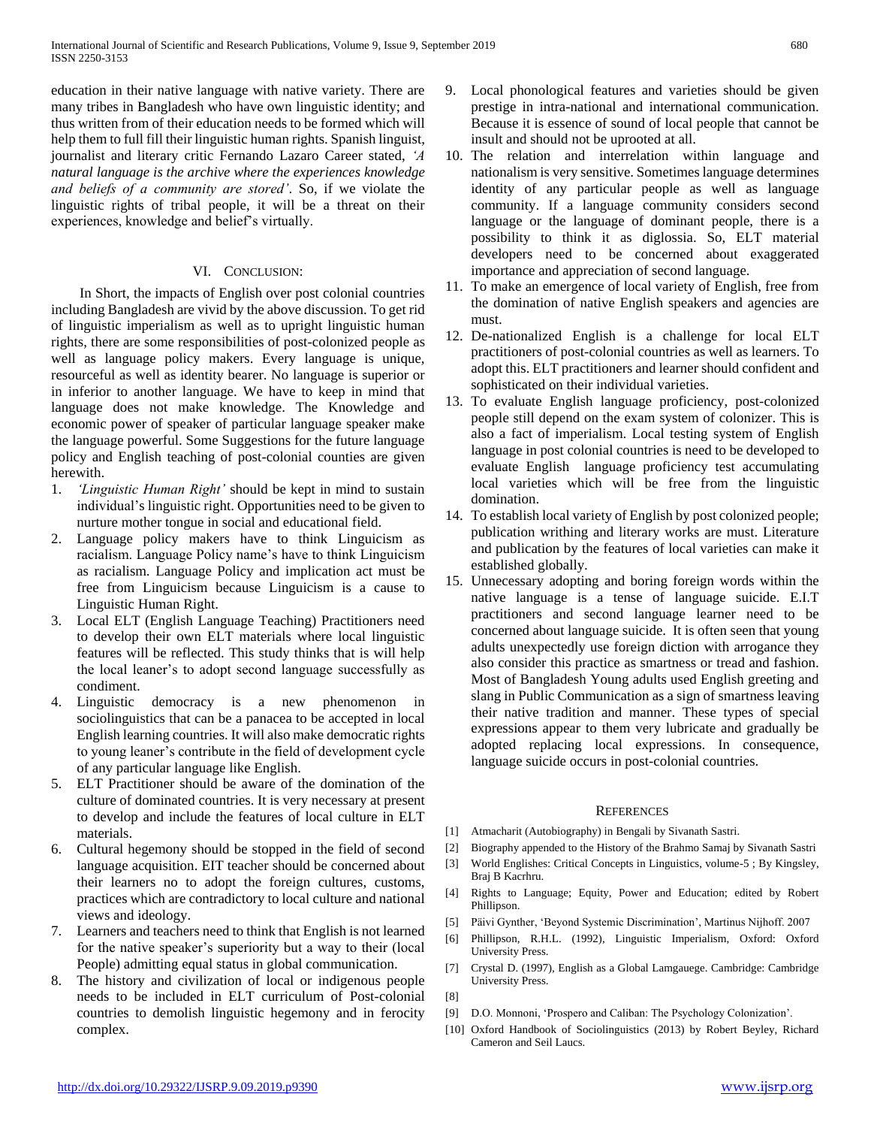education in their native language with native variety. There are many tribes in Bangladesh who have own linguistic identity; and thus written from of their education needs to be formed which will help them to full fill their linguistic human rights. Spanish linguist, journalist and literary critic Fernando Lazaro Career stated, *'A natural language is the archive where the experiences knowledge and beliefs of a community are stored'*. So, if we violate the linguistic rights of tribal people, it will be a threat on their experiences, knowledge and belief's virtually.

## VI. CONCLUSION:

 In Short, the impacts of English over post colonial countries including Bangladesh are vivid by the above discussion. To get rid of linguistic imperialism as well as to upright linguistic human rights, there are some responsibilities of post-colonized people as well as language policy makers. Every language is unique, resourceful as well as identity bearer. No language is superior or in inferior to another language. We have to keep in mind that language does not make knowledge. The Knowledge and economic power of speaker of particular language speaker make the language powerful. Some Suggestions for the future language policy and English teaching of post-colonial counties are given herewith.

- 1. *'Linguistic Human Right'* should be kept in mind to sustain individual's linguistic right. Opportunities need to be given to nurture mother tongue in social and educational field.
- 2. Language policy makers have to think Linguicism as racialism. Language Policy name's have to think Linguicism as racialism. Language Policy and implication act must be free from Linguicism because Linguicism is a cause to Linguistic Human Right.
- 3. Local ELT (English Language Teaching) Practitioners need to develop their own ELT materials where local linguistic features will be reflected. This study thinks that is will help the local leaner's to adopt second language successfully as condiment.
- 4. Linguistic democracy is a new phenomenon in sociolinguistics that can be a panacea to be accepted in local English learning countries. It will also make democratic rights to young leaner's contribute in the field of development cycle of any particular language like English.
- 5. ELT Practitioner should be aware of the domination of the culture of dominated countries. It is very necessary at present to develop and include the features of local culture in ELT materials.
- 6. Cultural hegemony should be stopped in the field of second language acquisition. EIT teacher should be concerned about their learners no to adopt the foreign cultures, customs, practices which are contradictory to local culture and national views and ideology.
- 7. Learners and teachers need to think that English is not learned for the native speaker's superiority but a way to their (local People) admitting equal status in global communication.
- The history and civilization of local or indigenous people needs to be included in ELT curriculum of Post-colonial countries to demolish linguistic hegemony and in ferocity complex.
- 9. Local phonological features and varieties should be given prestige in intra-national and international communication. Because it is essence of sound of local people that cannot be insult and should not be uprooted at all.
- 10. The relation and interrelation within language and nationalism is very sensitive. Sometimes language determines identity of any particular people as well as language community. If a language community considers second language or the language of dominant people, there is a possibility to think it as diglossia. So, ELT material developers need to be concerned about exaggerated importance and appreciation of second language.
- 11. To make an emergence of local variety of English, free from the domination of native English speakers and agencies are must.
- 12. De-nationalized English is a challenge for local ELT practitioners of post-colonial countries as well as learners. To adopt this. ELT practitioners and learner should confident and sophisticated on their individual varieties.
- 13. To evaluate English language proficiency, post-colonized people still depend on the exam system of colonizer. This is also a fact of imperialism. Local testing system of English language in post colonial countries is need to be developed to evaluate English language proficiency test accumulating local varieties which will be free from the linguistic domination.
- 14. To establish local variety of English by post colonized people; publication writhing and literary works are must. Literature and publication by the features of local varieties can make it established globally.
- 15. Unnecessary adopting and boring foreign words within the native language is a tense of language suicide. E.I.T practitioners and second language learner need to be concerned about language suicide. It is often seen that young adults unexpectedly use foreign diction with arrogance they also consider this practice as smartness or tread and fashion. Most of Bangladesh Young adults used English greeting and slang in Public Communication as a sign of smartness leaving their native tradition and manner. These types of special expressions appear to them very lubricate and gradually be adopted replacing local expressions. In consequence, language suicide occurs in post-colonial countries.

### **REFERENCES**

- [1] Atmacharit (Autobiography) in Bengali by Sivanath Sastri.
- [2] Biography appended to the History of the Brahmo Samaj by Sivanath Sastri
- [3] World Englishes: Critical Concepts in Linguistics, volume-5 ; By Kingsley, Braj B Kacrhru.
- [4] Rights to Language; Equity, Power and Education; edited by Robert Phillipson.
- [5] Päivi Gynther, 'Beyond Systemic Discrimination', Martinus Nijhoff. 2007
- [6] Phillipson, R.H.L. (1992), Linguistic Imperialism, Oxford: Oxford University Press.
- [7] Crystal D. (1997), English as a Global Lamgauege. Cambridge: Cambridge University Press.
- [8]
- [9] D.O. Monnoni, 'Prospero and Caliban: The Psychology Colonization'.
- [10] Oxford Handbook of Sociolinguistics (2013) by Robert Beyley, Richard Cameron and Seil Laucs.